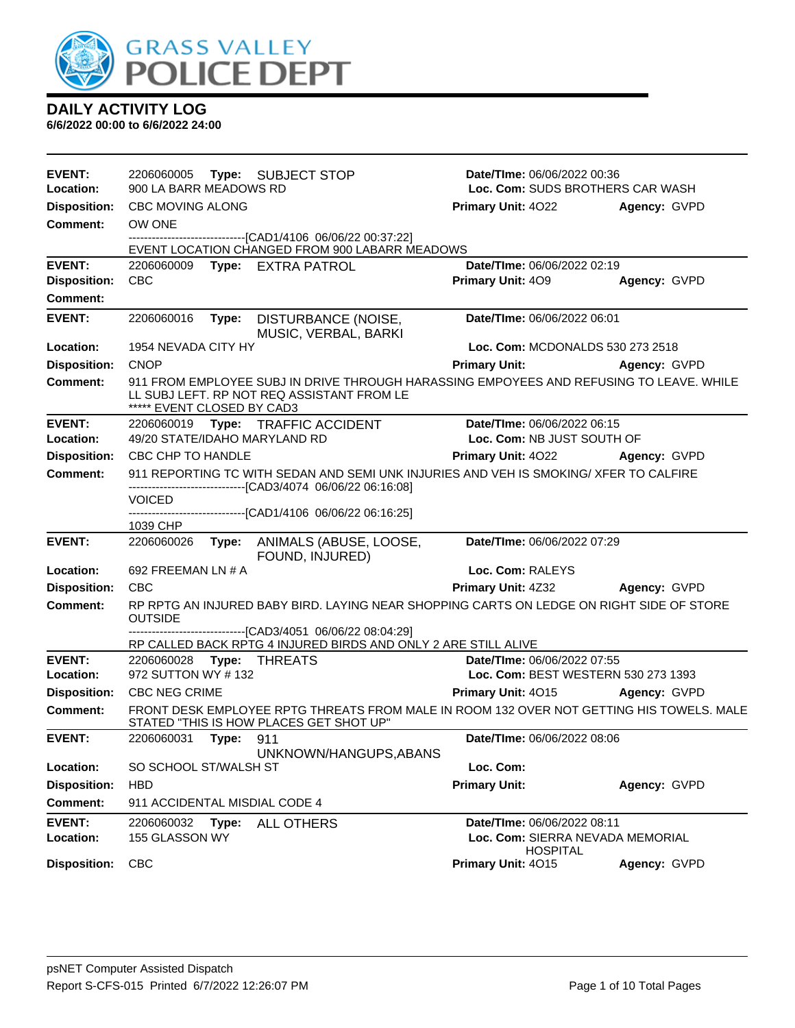

| EVENT:                     | 2206060005 Type: SUBJECT STOP         |                                                                                                                                                        | Date/TIme: 06/06/2022 00:36                                     |              |
|----------------------------|---------------------------------------|--------------------------------------------------------------------------------------------------------------------------------------------------------|-----------------------------------------------------------------|--------------|
| Location:                  | 900 LA BARR MEADOWS RD                |                                                                                                                                                        | Loc. Com: SUDS BROTHERS CAR WASH                                |              |
| <b>Disposition:</b>        | CBC MOVING ALONG                      |                                                                                                                                                        | <b>Primary Unit: 4022</b>                                       | Agency: GVPD |
| <b>Comment:</b>            | OW ONE                                | -------------------------------[CAD1/4106 06/06/22 00:37:22]                                                                                           |                                                                 |              |
|                            |                                       | EVENT LOCATION CHANGED FROM 900 LABARR MEADOWS                                                                                                         |                                                                 |              |
| <b>EVENT:</b>              | 2206060009                            | Type: EXTRA PATROL                                                                                                                                     | Date/TIme: 06/06/2022 02:19                                     |              |
| <b>Disposition:</b>        | <b>CBC</b>                            |                                                                                                                                                        | <b>Primary Unit: 409</b>                                        | Agency: GVPD |
| Comment:                   |                                       |                                                                                                                                                        |                                                                 |              |
| <b>EVENT:</b>              | 2206060016<br>Type:                   | DISTURBANCE (NOISE,<br>MUSIC, VERBAL, BARKI                                                                                                            | Date/TIme: 06/06/2022 06:01                                     |              |
| Location:                  | 1954 NEVADA CITY HY                   |                                                                                                                                                        | Loc. Com: MCDONALDS 530 273 2518                                |              |
| <b>Disposition:</b>        | <b>CNOP</b>                           |                                                                                                                                                        | <b>Primary Unit:</b>                                            | Agency: GVPD |
| <b>Comment:</b>            | ***** EVENT CLOSED BY CAD3            | 911 FROM EMPLOYEE SUBJ IN DRIVE THROUGH HARASSING EMPOYEES AND REFUSING TO LEAVE. WHILE<br>LL SUBJ LEFT. RP NOT REQ ASSISTANT FROM LE                  |                                                                 |              |
| EVENT:                     |                                       | 2206060019 Type: TRAFFIC ACCIDENT                                                                                                                      | Date/TIme: 06/06/2022 06:15                                     |              |
| Location:                  | 49/20 STATE/IDAHO MARYLAND RD         |                                                                                                                                                        | Loc. Com: NB JUST SOUTH OF                                      |              |
| <b>Disposition:</b>        | CBC CHP TO HANDLE                     |                                                                                                                                                        | <b>Primary Unit: 4022</b>                                       | Agency: GVPD |
| <b>Comment:</b>            |                                       | 911 REPORTING TC WITH SEDAN AND SEMI UNK INJURIES AND VEH IS SMOKING/ XFER TO CALFIRE<br>--------------------------------[CAD3/4074 06/06/22 06:16:08] |                                                                 |              |
|                            | <b>VOICED</b>                         |                                                                                                                                                        |                                                                 |              |
|                            | 1039 CHP                              | -------------------------------[CAD1/4106 06/06/22 06:16:25]                                                                                           |                                                                 |              |
| <b>EVENT:</b>              |                                       | 2206060026 Type: ANIMALS (ABUSE, LOOSE,<br>FOUND, INJURED)                                                                                             | Date/TIme: 06/06/2022 07:29                                     |              |
| Location:                  | 692 FREEMAN LN # A                    |                                                                                                                                                        | Loc. Com: RALEYS                                                |              |
| <b>Disposition:</b>        | <b>CBC</b>                            |                                                                                                                                                        | Primary Unit: 4Z32                                              | Agency: GVPD |
| <b>Comment:</b>            | <b>OUTSIDE</b>                        | RP RPTG AN INJURED BABY BIRD. LAYING NEAR SHOPPING CARTS ON LEDGE ON RIGHT SIDE OF STORE                                                               |                                                                 |              |
|                            |                                       | ---------------------[CAD3/4051 06/06/22 08:04:29]<br>RP CALLED BACK RPTG 4 INJURED BIRDS AND ONLY 2 ARE STILL ALIVE                                   |                                                                 |              |
| <b>EVENT:</b>              | 2206060028                            | <b>Type: THREATS</b>                                                                                                                                   | Date/TIme: 06/06/2022 07:55                                     |              |
| Location:                  | 972 SUTTON WY #132                    |                                                                                                                                                        | Loc. Com: BEST WESTERN 530 273 1393                             |              |
| <b>Disposition:</b>        | <b>CBC NEG CRIME</b>                  |                                                                                                                                                        | Primary Unit: 4015                                              | Agency: GVPD |
| Comment:                   |                                       | FRONT DESK EMPLOYEE RPTG THREATS FROM MALE IN ROOM 132 OVER NOT GETTING HIS TOWELS. MALE<br>STATED "THIS IS HOW PLACES GET SHOT UP"                    |                                                                 |              |
| <b>EVENT:</b>              | 2206060031 Type: 911                  |                                                                                                                                                        | Date/TIme: 06/06/2022 08:06                                     |              |
|                            |                                       | UNKNOWN/HANGUPS, ABANS                                                                                                                                 |                                                                 |              |
| Location:                  | SO SCHOOL ST/WALSH ST                 |                                                                                                                                                        | Loc. Com:                                                       |              |
| <b>Disposition:</b>        | <b>HBD</b>                            |                                                                                                                                                        | <b>Primary Unit:</b>                                            | Agency: GVPD |
| <b>Comment:</b>            | 911 ACCIDENTAL MISDIAL CODE 4         |                                                                                                                                                        |                                                                 |              |
| <b>EVENT:</b><br>Location: | 2206060032<br>Type:<br>155 GLASSON WY | ALL OTHERS                                                                                                                                             | Date/TIme: 06/06/2022 08:11<br>Loc. Com: SIERRA NEVADA MEMORIAL |              |
| <b>Disposition:</b>        | <b>CBC</b>                            |                                                                                                                                                        | <b>HOSPITAL</b><br>Primary Unit: 4015                           | Agency: GVPD |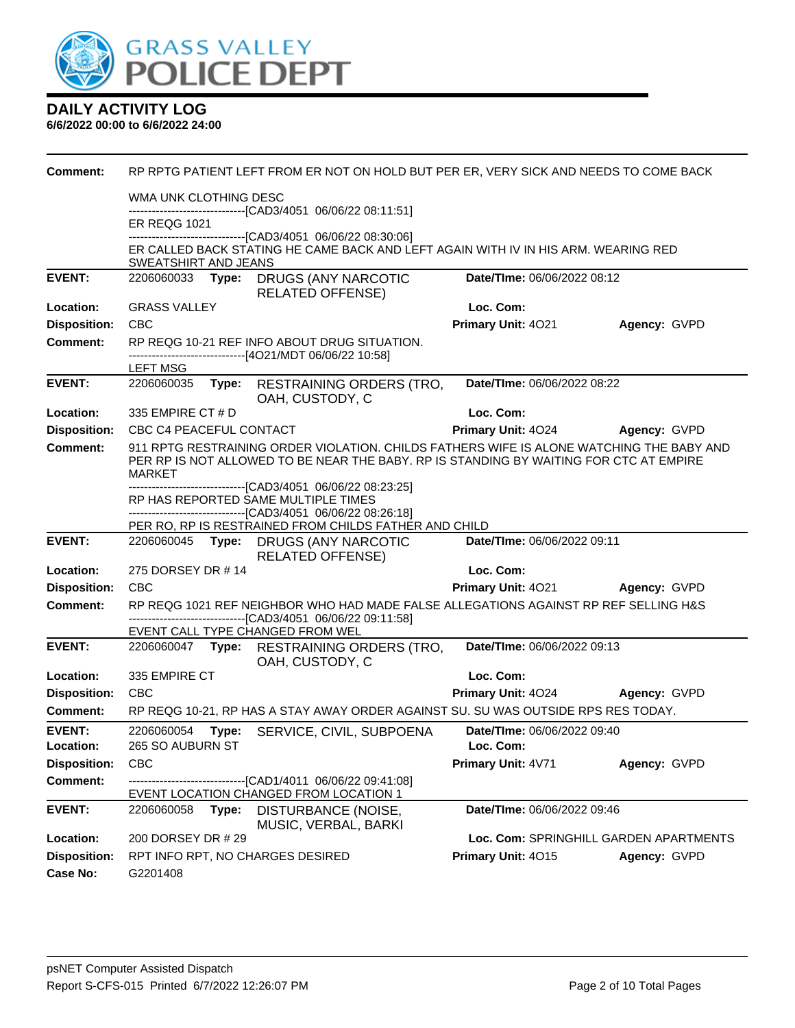

| <b>Comment:</b>     | RP RPTG PATIENT LEFT FROM ER NOT ON HOLD BUT PER ER, VERY SICK AND NEEDS TO COME BACK                                                                                                               |                                        |              |  |  |  |
|---------------------|-----------------------------------------------------------------------------------------------------------------------------------------------------------------------------------------------------|----------------------------------------|--------------|--|--|--|
|                     | WMA UNK CLOTHING DESC                                                                                                                                                                               |                                        |              |  |  |  |
|                     | -------------------------------[CAD3/4051 06/06/22 08:11:51]<br><b>ER REQG 1021</b>                                                                                                                 |                                        |              |  |  |  |
|                     | ---------------------------------[CAD3/4051 06/06/22 08:30:06]<br>ER CALLED BACK STATING HE CAME BACK AND LEFT AGAIN WITH IV IN HIS ARM. WEARING RED                                                |                                        |              |  |  |  |
|                     | SWEATSHIRT AND JEANS                                                                                                                                                                                |                                        |              |  |  |  |
| <b>EVENT:</b>       | 2206060033 Type: DRUGS (ANY NARCOTIC<br><b>RELATED OFFENSE)</b>                                                                                                                                     | Date/TIme: 06/06/2022 08:12            |              |  |  |  |
| Location:           | <b>GRASS VALLEY</b>                                                                                                                                                                                 | Loc. Com:                              |              |  |  |  |
| <b>Disposition:</b> | <b>CBC</b>                                                                                                                                                                                          | Primary Unit: 4021                     | Agency: GVPD |  |  |  |
| <b>Comment:</b>     | RP REQG 10-21 REF INFO ABOUT DRUG SITUATION.<br>-------------------------[4O21/MDT 06/06/22 10:58]                                                                                                  |                                        |              |  |  |  |
|                     | <b>LEFT MSG</b>                                                                                                                                                                                     |                                        |              |  |  |  |
| <b>EVENT:</b>       | 2206060035<br>Type: RESTRAINING ORDERS (TRO,<br>OAH, CUSTODY, C                                                                                                                                     | Date/TIme: 06/06/2022 08:22            |              |  |  |  |
| Location:           | 335 EMPIRE CT # D                                                                                                                                                                                   | Loc. Com:                              |              |  |  |  |
| <b>Disposition:</b> | CBC C4 PEACEFUL CONTACT                                                                                                                                                                             | <b>Primary Unit: 4024</b>              | Agency: GVPD |  |  |  |
| <b>Comment:</b>     | 911 RPTG RESTRAINING ORDER VIOLATION. CHILDS FATHERS WIFE IS ALONE WATCHING THE BABY AND<br>PER RP IS NOT ALLOWED TO BE NEAR THE BABY. RP IS STANDING BY WAITING FOR CTC AT EMPIRE<br><b>MARKET</b> |                                        |              |  |  |  |
|                     | --------------------------------[CAD3/4051 06/06/22 08:23:25]<br>RP HAS REPORTED SAME MULTIPLE TIMES                                                                                                |                                        |              |  |  |  |
|                     | --------------------------------[CAD3/4051 06/06/22 08:26:18]                                                                                                                                       |                                        |              |  |  |  |
|                     | PER RO, RP IS RESTRAINED FROM CHILDS FATHER AND CHILD                                                                                                                                               |                                        |              |  |  |  |
|                     |                                                                                                                                                                                                     |                                        |              |  |  |  |
| <b>EVENT:</b>       | 2206060045 Type: DRUGS (ANY NARCOTIC<br><b>RELATED OFFENSE)</b>                                                                                                                                     | Date/TIme: 06/06/2022 09:11            |              |  |  |  |
| Location:           | 275 DORSEY DR #14                                                                                                                                                                                   | Loc. Com:                              |              |  |  |  |
| <b>Disposition:</b> | <b>CBC</b>                                                                                                                                                                                          | Primary Unit: 4021                     | Agency: GVPD |  |  |  |
| <b>Comment:</b>     | RP REQG 1021 REF NEIGHBOR WHO HAD MADE FALSE ALLEGATIONS AGAINST RP REF SELLING H&S                                                                                                                 |                                        |              |  |  |  |
|                     | ----------------------[CAD3/4051 06/06/22 09:11:58]<br>EVENT CALL TYPE CHANGED FROM WEL                                                                                                             |                                        |              |  |  |  |
| <b>EVENT:</b>       | 2206060047 Type: RESTRAINING ORDERS (TRO,<br>OAH, CUSTODY, C                                                                                                                                        | Date/TIme: 06/06/2022 09:13            |              |  |  |  |
| Location:           | 335 EMPIRE CT                                                                                                                                                                                       | Loc. Com:                              |              |  |  |  |
| <b>Disposition:</b> | CBC                                                                                                                                                                                                 | Primary Unit: 4024 Agency: GVPD        |              |  |  |  |
| Comment:            | RP REQG 10-21, RP HAS A STAY AWAY ORDER AGAINST SU. SU WAS OUTSIDE RPS RES TODAY.                                                                                                                   |                                        |              |  |  |  |
| <b>EVENT:</b>       | 2206060054 Type: SERVICE, CIVIL, SUBPOENA                                                                                                                                                           | Date/TIme: 06/06/2022 09:40            |              |  |  |  |
| Location:           | 265 SO AUBURN ST                                                                                                                                                                                    | Loc. Com:                              |              |  |  |  |
| <b>Disposition:</b> | <b>CBC</b>                                                                                                                                                                                          | Primary Unit: 4V71                     | Agency: GVPD |  |  |  |
| <b>Comment:</b>     | ---[CAD1/4011 06/06/22 09:41:08]<br>EVENT LOCATION CHANGED FROM LOCATION 1                                                                                                                          |                                        |              |  |  |  |
| <b>EVENT:</b>       | 2206060058<br>Type:<br>DISTURBANCE (NOISE,<br>MUSIC, VERBAL, BARKI                                                                                                                                  | Date/TIme: 06/06/2022 09:46            |              |  |  |  |
| Location:           | 200 DORSEY DR # 29                                                                                                                                                                                  | Loc. Com: SPRINGHILL GARDEN APARTMENTS |              |  |  |  |
| <b>Disposition:</b> | RPT INFO RPT, NO CHARGES DESIRED                                                                                                                                                                    | Primary Unit: 4015                     | Agency: GVPD |  |  |  |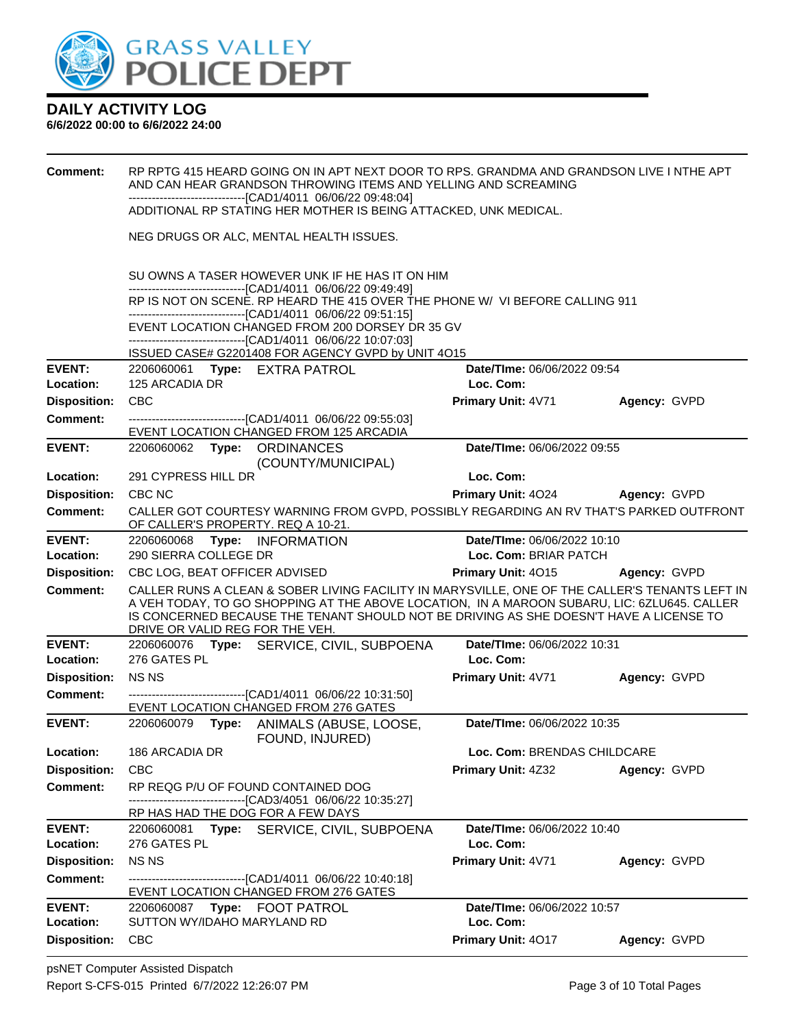

| Comment:            | RP RPTG 415 HEARD GOING ON IN APT NEXT DOOR TO RPS. GRANDMA AND GRANDSON LIVE I NTHE APT<br>AND CAN HEAR GRANDSON THROWING ITEMS AND YELLING AND SCREAMING<br>-------------------------------[CAD1/4011 06/06/22 09:48:04]<br>ADDITIONAL RP STATING HER MOTHER IS BEING ATTACKED, UNK MEDICAL. |  |                                                                                                                                                                                 |                                                                                                                                                                                                                                                                                         |              |  |  |  |
|---------------------|------------------------------------------------------------------------------------------------------------------------------------------------------------------------------------------------------------------------------------------------------------------------------------------------|--|---------------------------------------------------------------------------------------------------------------------------------------------------------------------------------|-----------------------------------------------------------------------------------------------------------------------------------------------------------------------------------------------------------------------------------------------------------------------------------------|--------------|--|--|--|
|                     |                                                                                                                                                                                                                                                                                                |  | NEG DRUGS OR ALC, MENTAL HEALTH ISSUES.                                                                                                                                         |                                                                                                                                                                                                                                                                                         |              |  |  |  |
|                     | SU OWNS A TASER HOWEVER UNK IF HE HAS IT ON HIM<br>------------------------------[CAD1/4011 06/06/22 09:49:49]<br>RP IS NOT ON SCENE. RP HEARD THE 415 OVER THE PHONE W/ VI BEFORE CALLING 911                                                                                                 |  |                                                                                                                                                                                 |                                                                                                                                                                                                                                                                                         |              |  |  |  |
|                     |                                                                                                                                                                                                                                                                                                |  | -------------------------------[CAD1/4011_06/06/22_09:51:15]<br>EVENT LOCATION CHANGED FROM 200 DORSEY DR 35 GV<br>-------------------------------[CAD1/4011 06/06/22 10:07:03] |                                                                                                                                                                                                                                                                                         |              |  |  |  |
|                     |                                                                                                                                                                                                                                                                                                |  | ISSUED CASE# G2201408 FOR AGENCY GVPD by UNIT 4O15                                                                                                                              |                                                                                                                                                                                                                                                                                         |              |  |  |  |
| <b>EVENT:</b>       |                                                                                                                                                                                                                                                                                                |  | 2206060061 Type: EXTRA PATROL                                                                                                                                                   | Date/TIme: 06/06/2022 09:54                                                                                                                                                                                                                                                             |              |  |  |  |
| Location:           | 125 ARCADIA DR                                                                                                                                                                                                                                                                                 |  |                                                                                                                                                                                 | Loc. Com:                                                                                                                                                                                                                                                                               |              |  |  |  |
| <b>Disposition:</b> | <b>CBC</b>                                                                                                                                                                                                                                                                                     |  |                                                                                                                                                                                 | Primary Unit: 4V71                                                                                                                                                                                                                                                                      | Agency: GVPD |  |  |  |
| <b>Comment:</b>     |                                                                                                                                                                                                                                                                                                |  | ----------------------------------[CAD1/4011 06/06/22 09:55:03]<br>EVENT LOCATION CHANGED FROM 125 ARCADIA                                                                      |                                                                                                                                                                                                                                                                                         |              |  |  |  |
| <b>EVENT:</b>       |                                                                                                                                                                                                                                                                                                |  | 2206060062 Type: ORDINANCES<br>(COUNTY/MUNICIPAL)                                                                                                                               | Date/TIme: 06/06/2022 09:55                                                                                                                                                                                                                                                             |              |  |  |  |
| Location:           | 291 CYPRESS HILL DR                                                                                                                                                                                                                                                                            |  |                                                                                                                                                                                 | Loc. Com:                                                                                                                                                                                                                                                                               |              |  |  |  |
| <b>Disposition:</b> | CBC NC                                                                                                                                                                                                                                                                                         |  |                                                                                                                                                                                 | <b>Primary Unit: 4024</b>                                                                                                                                                                                                                                                               | Agency: GVPD |  |  |  |
| <b>Comment:</b>     |                                                                                                                                                                                                                                                                                                |  | OF CALLER'S PROPERTY. REQ A 10-21.                                                                                                                                              | CALLER GOT COURTESY WARNING FROM GVPD, POSSIBLY REGARDING AN RV THAT'S PARKED OUTFRONT                                                                                                                                                                                                  |              |  |  |  |
| <b>EVENT:</b>       | 2206060068                                                                                                                                                                                                                                                                                     |  | Type: INFORMATION                                                                                                                                                               | Date/TIme: 06/06/2022 10:10                                                                                                                                                                                                                                                             |              |  |  |  |
| Location:           | 290 SIERRA COLLEGE DR                                                                                                                                                                                                                                                                          |  |                                                                                                                                                                                 | Loc. Com: BRIAR PATCH                                                                                                                                                                                                                                                                   |              |  |  |  |
| <b>Disposition:</b> | CBC LOG, BEAT OFFICER ADVISED                                                                                                                                                                                                                                                                  |  |                                                                                                                                                                                 | Primary Unit: 4015                                                                                                                                                                                                                                                                      | Agency: GVPD |  |  |  |
| <b>Comment:</b>     | DRIVE OR VALID REG FOR THE VEH.                                                                                                                                                                                                                                                                |  |                                                                                                                                                                                 | CALLER RUNS A CLEAN & SOBER LIVING FACILITY IN MARYSVILLE, ONE OF THE CALLER'S TENANTS LEFT IN<br>A VEH TODAY, TO GO SHOPPING AT THE ABOVE LOCATION, IN A MAROON SUBARU, LIC: 6ZLU645. CALLER<br>IS CONCERNED BECAUSE THE TENANT SHOULD NOT BE DRIVING AS SHE DOESN'T HAVE A LICENSE TO |              |  |  |  |
| <b>EVENT:</b>       |                                                                                                                                                                                                                                                                                                |  | 2206060076 Type: SERVICE, CIVIL, SUBPOENA                                                                                                                                       | Date/TIme: 06/06/2022 10:31                                                                                                                                                                                                                                                             |              |  |  |  |
| Location:           | 276 GATES PL                                                                                                                                                                                                                                                                                   |  |                                                                                                                                                                                 | Loc. Com:                                                                                                                                                                                                                                                                               |              |  |  |  |
| <b>Disposition:</b> | <b>NSNS</b>                                                                                                                                                                                                                                                                                    |  |                                                                                                                                                                                 | <b>Primary Unit: 4V71</b>                                                                                                                                                                                                                                                               | Agency: GVPD |  |  |  |
| <b>Comment:</b>     |                                                                                                                                                                                                                                                                                                |  | ------------------------------[CAD1/4011 06/06/22 10:31:50]                                                                                                                     |                                                                                                                                                                                                                                                                                         |              |  |  |  |
|                     |                                                                                                                                                                                                                                                                                                |  | EVENT LOCATION CHANGED FROM 276 GATES                                                                                                                                           |                                                                                                                                                                                                                                                                                         |              |  |  |  |
| <b>EVENT:</b>       | 2206060079                                                                                                                                                                                                                                                                                     |  | Type: ANIMALS (ABUSE, LOOSE,<br>FOUND, INJURED)                                                                                                                                 | Date/TIme: 06/06/2022 10:35                                                                                                                                                                                                                                                             |              |  |  |  |
| Location:           | 186 ARCADIA DR                                                                                                                                                                                                                                                                                 |  |                                                                                                                                                                                 | Loc. Com: BRENDAS CHILDCARE                                                                                                                                                                                                                                                             |              |  |  |  |
| <b>Disposition:</b> | <b>CBC</b>                                                                                                                                                                                                                                                                                     |  |                                                                                                                                                                                 | Primary Unit: 4Z32                                                                                                                                                                                                                                                                      | Agency: GVPD |  |  |  |
| <b>Comment:</b>     |                                                                                                                                                                                                                                                                                                |  | RP REQG P/U OF FOUND CONTAINED DOG                                                                                                                                              |                                                                                                                                                                                                                                                                                         |              |  |  |  |
|                     |                                                                                                                                                                                                                                                                                                |  | ----------------------[CAD3/4051_06/06/22 10:35:27]<br>RP HAS HAD THE DOG FOR A FEW DAYS                                                                                        |                                                                                                                                                                                                                                                                                         |              |  |  |  |
| <b>EVENT:</b>       | 2206060081                                                                                                                                                                                                                                                                                     |  | Type: SERVICE, CIVIL, SUBPOENA                                                                                                                                                  | Date/TIme: 06/06/2022 10:40                                                                                                                                                                                                                                                             |              |  |  |  |
| Location:           | 276 GATES PL                                                                                                                                                                                                                                                                                   |  |                                                                                                                                                                                 | Loc. Com:                                                                                                                                                                                                                                                                               |              |  |  |  |
| <b>Disposition:</b> | <b>NSNS</b>                                                                                                                                                                                                                                                                                    |  |                                                                                                                                                                                 | Primary Unit: 4V71                                                                                                                                                                                                                                                                      | Agency: GVPD |  |  |  |
| <b>Comment:</b>     |                                                                                                                                                                                                                                                                                                |  | -------------------------------[CAD1/4011_06/06/22 10:40:18]<br>EVENT LOCATION CHANGED FROM 276 GATES                                                                           |                                                                                                                                                                                                                                                                                         |              |  |  |  |
| <b>EVENT:</b>       |                                                                                                                                                                                                                                                                                                |  | 2206060087    Type: FOOT PATROL                                                                                                                                                 | Date/TIme: 06/06/2022 10:57                                                                                                                                                                                                                                                             |              |  |  |  |
| Location:           | SUTTON WY/IDAHO MARYLAND RD                                                                                                                                                                                                                                                                    |  |                                                                                                                                                                                 | Loc. Com:                                                                                                                                                                                                                                                                               |              |  |  |  |
| <b>Disposition:</b> | <b>CBC</b>                                                                                                                                                                                                                                                                                     |  |                                                                                                                                                                                 | Primary Unit: 4017                                                                                                                                                                                                                                                                      | Agency: GVPD |  |  |  |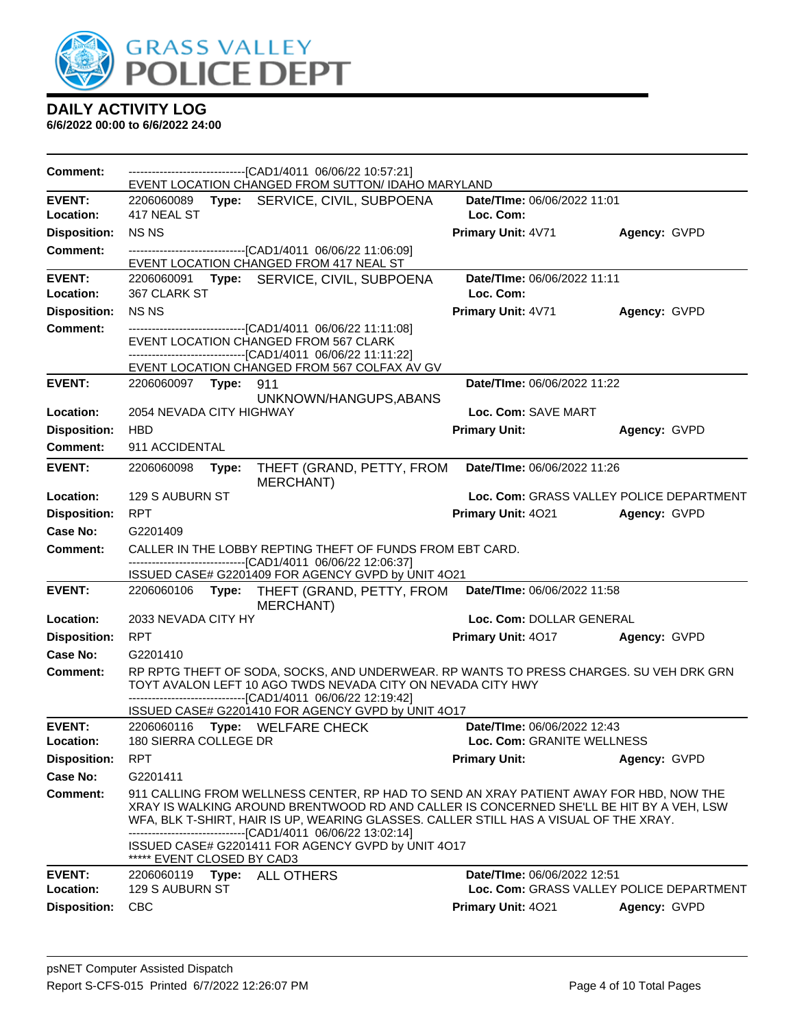

| Comment:                         |                            |       | -------------------------------[CAD1/4011 06/06/22 10:57:21]<br>EVENT LOCATION CHANGED FROM SUTTON/ IDAHO MARYLAND                                                                                                                                                                                                                                                                    |                             |                                          |
|----------------------------------|----------------------------|-------|---------------------------------------------------------------------------------------------------------------------------------------------------------------------------------------------------------------------------------------------------------------------------------------------------------------------------------------------------------------------------------------|-----------------------------|------------------------------------------|
| <b>EVENT:</b>                    |                            |       | 2206060089 Type: SERVICE, CIVIL, SUBPOENA                                                                                                                                                                                                                                                                                                                                             | Date/TIme: 06/06/2022 11:01 |                                          |
| Location:                        | 417 NEAL ST                |       |                                                                                                                                                                                                                                                                                                                                                                                       | Loc. Com:                   |                                          |
| <b>Disposition:</b>              | <b>NSNS</b>                |       |                                                                                                                                                                                                                                                                                                                                                                                       | Primary Unit: 4V71          | Agency: GVPD                             |
| <b>Comment:</b>                  |                            |       | ----------------------------------[CAD1/4011 06/06/22 11:06:09]                                                                                                                                                                                                                                                                                                                       |                             |                                          |
| <b>EVENT:</b>                    |                            |       | EVENT LOCATION CHANGED FROM 417 NEAL ST                                                                                                                                                                                                                                                                                                                                               | Date/TIme: 06/06/2022 11:11 |                                          |
| Location:                        | 367 CLARK ST               |       | 2206060091 Type: SERVICE, CIVIL, SUBPOENA                                                                                                                                                                                                                                                                                                                                             | Loc. Com:                   |                                          |
| <b>Disposition:</b>              | <b>NSNS</b>                |       |                                                                                                                                                                                                                                                                                                                                                                                       | Primary Unit: 4V71          | Agency: GVPD                             |
| Comment:                         |                            |       | ----------------------------------[CAD1/4011 06/06/22 11:11:08]                                                                                                                                                                                                                                                                                                                       |                             |                                          |
|                                  |                            |       | EVENT LOCATION CHANGED FROM 567 CLARK<br>------------------------------[CAD1/4011_06/06/22 11:11:22]                                                                                                                                                                                                                                                                                  |                             |                                          |
|                                  |                            |       | EVENT LOCATION CHANGED FROM 567 COLFAX AV GV                                                                                                                                                                                                                                                                                                                                          |                             |                                          |
| <b>EVENT:</b>                    | 2206060097 Type:           |       | 911<br>UNKNOWN/HANGUPS, ABANS                                                                                                                                                                                                                                                                                                                                                         | Date/TIme: 06/06/2022 11:22 |                                          |
| Location:                        | 2054 NEVADA CITY HIGHWAY   |       |                                                                                                                                                                                                                                                                                                                                                                                       | Loc. Com: SAVE MART         |                                          |
| <b>Disposition:</b>              | <b>HBD</b>                 |       |                                                                                                                                                                                                                                                                                                                                                                                       | <b>Primary Unit:</b>        | Agency: GVPD                             |
| Comment:                         | 911 ACCIDENTAL             |       |                                                                                                                                                                                                                                                                                                                                                                                       |                             |                                          |
| <b>EVENT:</b>                    | 2206060098                 | Type: | THEFT (GRAND, PETTY, FROM<br><b>MERCHANT)</b>                                                                                                                                                                                                                                                                                                                                         | Date/TIme: 06/06/2022 11:26 |                                          |
| Location:                        | 129 S AUBURN ST            |       |                                                                                                                                                                                                                                                                                                                                                                                       |                             | Loc. Com: GRASS VALLEY POLICE DEPARTMENT |
| <b>Disposition:</b>              | <b>RPT</b>                 |       |                                                                                                                                                                                                                                                                                                                                                                                       | Primary Unit: 4021          | Agency: GVPD                             |
| Case No:                         | G2201409                   |       |                                                                                                                                                                                                                                                                                                                                                                                       |                             |                                          |
| <b>Comment:</b>                  |                            |       | CALLER IN THE LOBBY REPTING THEFT OF FUNDS FROM EBT CARD.                                                                                                                                                                                                                                                                                                                             |                             |                                          |
|                                  |                            |       | -------------------------------[CAD1/4011 06/06/22 12:06:37]<br>ISSUED CASE# G2201409 FOR AGENCY GVPD by UNIT 4O21                                                                                                                                                                                                                                                                    |                             |                                          |
|                                  |                            |       |                                                                                                                                                                                                                                                                                                                                                                                       |                             |                                          |
| <b>EVENT:</b>                    |                            |       | 2206060106 Type: THEFT (GRAND, PETTY, FROM                                                                                                                                                                                                                                                                                                                                            | Date/TIme: 06/06/2022 11:58 |                                          |
| Location:                        | 2033 NEVADA CITY HY        |       | MERCHANT)                                                                                                                                                                                                                                                                                                                                                                             | Loc. Com: DOLLAR GENERAL    |                                          |
| <b>Disposition:</b>              | <b>RPT</b>                 |       |                                                                                                                                                                                                                                                                                                                                                                                       | <b>Primary Unit: 4017</b>   | Agency: GVPD                             |
| Case No:                         | G2201410                   |       |                                                                                                                                                                                                                                                                                                                                                                                       |                             |                                          |
| <b>Comment:</b>                  |                            |       | RP RPTG THEFT OF SODA, SOCKS, AND UNDERWEAR. RP WANTS TO PRESS CHARGES. SU VEH DRK GRN<br>TOYT AVALON LEFT 10 AGO TWDS NEVADA CITY ON NEVADA CITY HWY                                                                                                                                                                                                                                 |                             |                                          |
|                                  |                            |       | -------------------------------[CAD1/4011_06/06/22 12:19:42]<br>ISSUED CASE# G2201410 FOR AGENCY GVPD by UNIT 4O17                                                                                                                                                                                                                                                                    |                             |                                          |
| <b>EVENT:</b>                    |                            |       | 2206060116 Type: WELFARE CHECK                                                                                                                                                                                                                                                                                                                                                        | Date/TIme: 06/06/2022 12:43 |                                          |
| Location:                        | 180 SIERRA COLLEGE DR      |       |                                                                                                                                                                                                                                                                                                                                                                                       | Loc. Com: GRANITE WELLNESS  |                                          |
| <b>Disposition:</b>              | <b>RPT</b>                 |       |                                                                                                                                                                                                                                                                                                                                                                                       | <b>Primary Unit:</b>        | Agency: GVPD                             |
| <b>Case No:</b>                  | G2201411                   |       |                                                                                                                                                                                                                                                                                                                                                                                       |                             |                                          |
| <b>Comment:</b>                  |                            |       | 911 CALLING FROM WELLNESS CENTER, RP HAD TO SEND AN XRAY PATIENT AWAY FOR HBD, NOW THE<br>XRAY IS WALKING AROUND BRENTWOOD RD AND CALLER IS CONCERNED SHE'LL BE HIT BY A VEH, LSW<br>WFA, BLK T-SHIRT, HAIR IS UP, WEARING GLASSES. CALLER STILL HAS A VISUAL OF THE XRAY.<br>--------------------[CAD1/4011_06/06/22 13:02:14]<br>ISSUED CASE# G2201411 FOR AGENCY GVPD by UNIT 4O17 |                             |                                          |
| <b>EVENT:</b>                    | ***** EVENT CLOSED BY CAD3 |       |                                                                                                                                                                                                                                                                                                                                                                                       | Date/TIme: 06/06/2022 12:51 |                                          |
| Location:<br><b>Disposition:</b> | 129 S AUBURN ST            |       |                                                                                                                                                                                                                                                                                                                                                                                       | Primary Unit: 4021          | Loc. Com: GRASS VALLEY POLICE DEPARTMENT |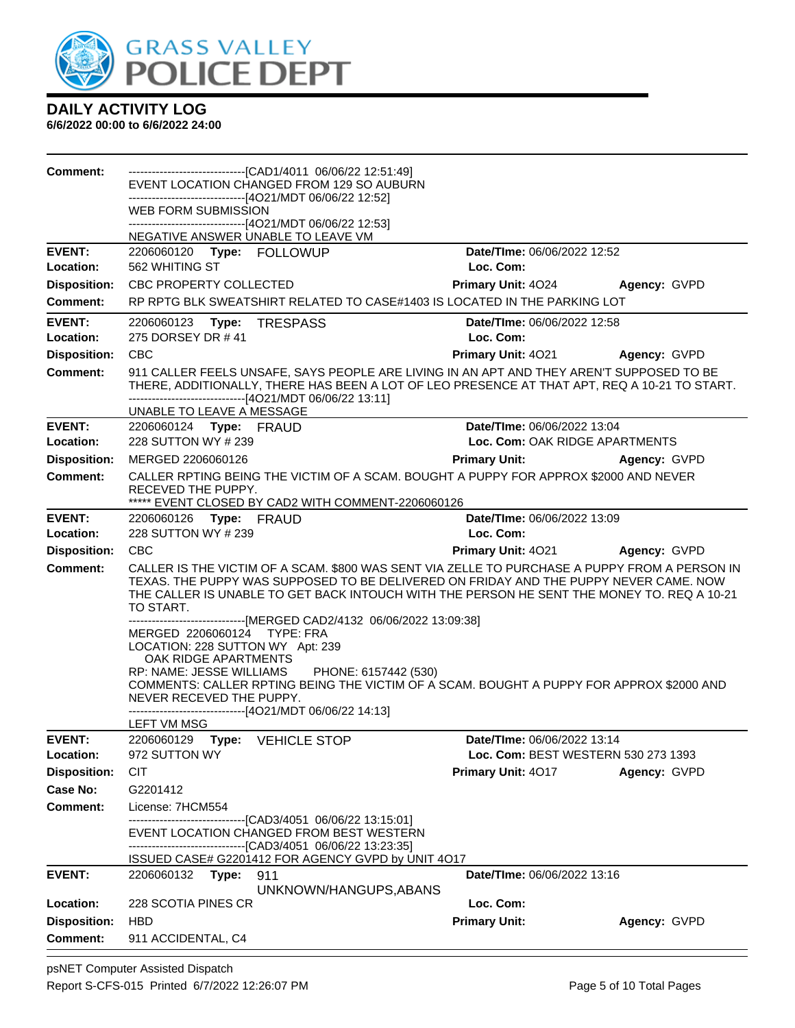

| <b>Comment:</b>                        | --------------------------------[CAD1/4011 06/06/22 12:51:49]<br>EVENT LOCATION CHANGED FROM 129 SO AUBURN                                                                                                                                                                                                                                                                                                      |                                          |              |
|----------------------------------------|-----------------------------------------------------------------------------------------------------------------------------------------------------------------------------------------------------------------------------------------------------------------------------------------------------------------------------------------------------------------------------------------------------------------|------------------------------------------|--------------|
|                                        | -------------------------------[4O21/MDT 06/06/22 12:52]                                                                                                                                                                                                                                                                                                                                                        |                                          |              |
|                                        | WEB FORM SUBMISSION                                                                                                                                                                                                                                                                                                                                                                                             |                                          |              |
|                                        | ------------------------------[4O21/MDT 06/06/22 12:53]<br>NEGATIVE ANSWER UNABLE TO LEAVE VM                                                                                                                                                                                                                                                                                                                   |                                          |              |
| <b>EVENT:</b>                          | 2206060120 Type: FOLLOWUP                                                                                                                                                                                                                                                                                                                                                                                       | Date/TIme: 06/06/2022 12:52              |              |
| Location:                              | 562 WHITING ST                                                                                                                                                                                                                                                                                                                                                                                                  | Loc. Com:                                |              |
| <b>Disposition:</b>                    | CBC PROPERTY COLLECTED                                                                                                                                                                                                                                                                                                                                                                                          | <b>Primary Unit: 4024</b>                | Agency: GVPD |
| Comment:                               | RP RPTG BLK SWEATSHIRT RELATED TO CASE#1403 IS LOCATED IN THE PARKING LOT                                                                                                                                                                                                                                                                                                                                       |                                          |              |
| <b>EVENT:</b><br>Location:             | 2206060123 Type: TRESPASS<br>275 DORSEY DR #41                                                                                                                                                                                                                                                                                                                                                                  | Date/TIme: 06/06/2022 12:58<br>Loc. Com: |              |
| <b>Disposition:</b>                    | <b>CBC</b>                                                                                                                                                                                                                                                                                                                                                                                                      | Primary Unit: 4021                       | Agency: GVPD |
| <b>Comment:</b>                        | 911 CALLER FEELS UNSAFE, SAYS PEOPLE ARE LIVING IN AN APT AND THEY AREN'T SUPPOSED TO BE                                                                                                                                                                                                                                                                                                                        |                                          |              |
|                                        | THERE, ADDITIONALLY, THERE HAS BEEN A LOT OF LEO PRESENCE AT THAT APT, REQ A 10-21 TO START.<br>------------------------------[4O21/MDT 06/06/22 13:11]<br>UNABLE TO LEAVE A MESSAGE                                                                                                                                                                                                                            |                                          |              |
| <b>EVENT:</b>                          | 2206060124 Type: FRAUD                                                                                                                                                                                                                                                                                                                                                                                          | Date/TIme: 06/06/2022 13:04              |              |
| Location:                              | 228 SUTTON WY # 239                                                                                                                                                                                                                                                                                                                                                                                             | Loc. Com: OAK RIDGE APARTMENTS           |              |
| <b>Disposition:</b>                    | MERGED 2206060126                                                                                                                                                                                                                                                                                                                                                                                               | <b>Primary Unit:</b>                     | Agency: GVPD |
| <b>Comment:</b>                        | CALLER RPTING BEING THE VICTIM OF A SCAM. BOUGHT A PUPPY FOR APPROX \$2000 AND NEVER<br>RECEVED THE PUPPY.<br>***** EVENT CLOSED BY CAD2 WITH COMMENT-2206060126                                                                                                                                                                                                                                                |                                          |              |
| <b>EVENT:</b>                          | 2206060126 Type: FRAUD                                                                                                                                                                                                                                                                                                                                                                                          | Date/TIme: 06/06/2022 13:09              |              |
| Location:                              | 228 SUTTON WY # 239                                                                                                                                                                                                                                                                                                                                                                                             | Loc. Com:                                |              |
| <b>Disposition:</b>                    | CBC                                                                                                                                                                                                                                                                                                                                                                                                             | <b>Primary Unit: 4021</b>                | Agency: GVPD |
| <b>Comment:</b>                        | CALLER IS THE VICTIM OF A SCAM. \$800 WAS SENT VIA ZELLE TO PURCHASE A PUPPY FROM A PERSON IN<br>TEXAS. THE PUPPY WAS SUPPOSED TO BE DELIVERED ON FRIDAY AND THE PUPPY NEVER CAME. NOW<br>THE CALLER IS UNABLE TO GET BACK INTOUCH WITH THE PERSON HE SENT THE MONEY TO. REQ A 10-21<br>TO START.                                                                                                               |                                          |              |
|                                        | -------------------------------[MERGED CAD2/4132 06/06/2022 13:09:38]<br>MERGED 2206060124 TYPE: FRA<br>LOCATION: 228 SUTTON WY Apt: 239<br>OAK RIDGE APARTMENTS<br>RP: NAME: JESSE WILLIAMS PHONE: 6157442 (530)<br>COMMENTS: CALLER RPTING BEING THE VICTIM OF A SCAM. BOUGHT A PUPPY FOR APPROX \$2000 AND<br>NEVER RECEVED THE PUPPY.<br>--------------------------[4O21/MDT 06/06/22 14:13]<br>LEFT VM MSG |                                          |              |
| <b>EVENT:</b>                          | Type:<br>2206060129<br><b>VEHICLE STOP</b>                                                                                                                                                                                                                                                                                                                                                                      | Date/TIme: 06/06/2022 13:14              |              |
| Location:<br><b>Disposition:</b>       | 972 SUTTON WY<br><b>CIT</b>                                                                                                                                                                                                                                                                                                                                                                                     | Loc. Com: BEST WESTERN 530 273 1393      |              |
| Case No:                               | G2201412                                                                                                                                                                                                                                                                                                                                                                                                        | <b>Primary Unit: 4017</b>                | Agency: GVPD |
| <b>Comment:</b>                        | License: 7HCM554                                                                                                                                                                                                                                                                                                                                                                                                |                                          |              |
|                                        | --------------------------[CAD3/4051_06/06/22 13:15:01]                                                                                                                                                                                                                                                                                                                                                         |                                          |              |
|                                        | EVENT LOCATION CHANGED FROM BEST WESTERN<br>-------------------------------[CAD3/4051 06/06/22 13:23:35]                                                                                                                                                                                                                                                                                                        |                                          |              |
|                                        | ISSUED CASE# G2201412 FOR AGENCY GVPD by UNIT 4O17                                                                                                                                                                                                                                                                                                                                                              |                                          |              |
| <b>EVENT:</b>                          | 2206060132 Type: 911                                                                                                                                                                                                                                                                                                                                                                                            | Date/TIme: 06/06/2022 13:16              |              |
|                                        | UNKNOWN/HANGUPS, ABANS                                                                                                                                                                                                                                                                                                                                                                                          |                                          |              |
| Location:                              | 228 SCOTIA PINES CR                                                                                                                                                                                                                                                                                                                                                                                             | Loc. Com:                                |              |
| <b>Disposition:</b><br><b>Comment:</b> | <b>HBD</b><br>911 ACCIDENTAL, C4                                                                                                                                                                                                                                                                                                                                                                                | <b>Primary Unit:</b>                     | Agency: GVPD |
|                                        |                                                                                                                                                                                                                                                                                                                                                                                                                 |                                          |              |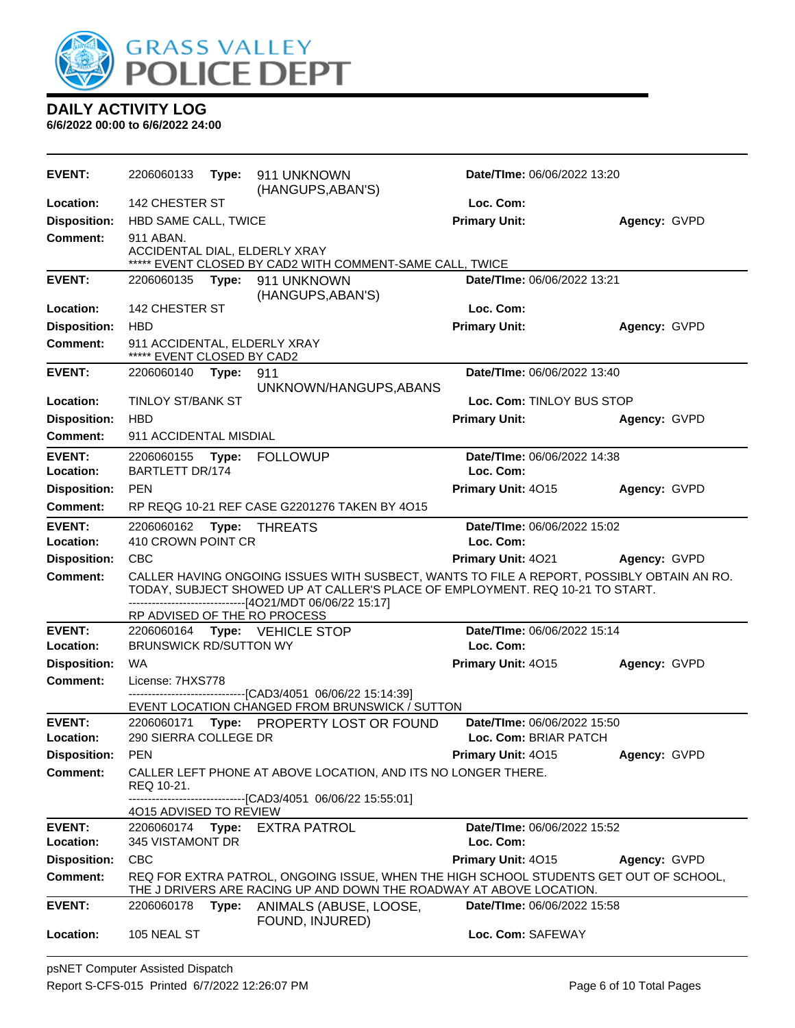

| <b>EVENT:</b>                          | 2206060133                                                 | Type: | 911 UNKNOWN<br>(HANGUPS, ABAN'S)                                                                                                                                                                                                       | Date/TIme: 06/06/2022 13:20 |              |
|----------------------------------------|------------------------------------------------------------|-------|----------------------------------------------------------------------------------------------------------------------------------------------------------------------------------------------------------------------------------------|-----------------------------|--------------|
| Location:                              | 142 CHESTER ST                                             |       |                                                                                                                                                                                                                                        | Loc. Com:                   |              |
| <b>Disposition:</b>                    | HBD SAME CALL, TWICE                                       |       |                                                                                                                                                                                                                                        | <b>Primary Unit:</b>        | Agency: GVPD |
| <b>Comment:</b>                        | 911 ABAN.                                                  |       | ACCIDENTAL DIAL, ELDERLY XRAY<br>***** EVENT CLOSED BY CAD2 WITH COMMENT-SAME CALL, TWICE                                                                                                                                              |                             |              |
| <b>EVENT:</b>                          | 2206060135                                                 | Type: | 911 UNKNOWN                                                                                                                                                                                                                            | Date/TIme: 06/06/2022 13:21 |              |
|                                        |                                                            |       | (HANGUPS, ABAN'S)                                                                                                                                                                                                                      |                             |              |
| Location:                              | 142 CHESTER ST                                             |       |                                                                                                                                                                                                                                        | Loc. Com:                   |              |
| <b>Disposition:</b>                    | <b>HBD</b>                                                 |       |                                                                                                                                                                                                                                        | <b>Primary Unit:</b>        | Agency: GVPD |
| <b>Comment:</b>                        | 911 ACCIDENTAL, ELDERLY XRAY<br>***** EVENT CLOSED BY CAD2 |       |                                                                                                                                                                                                                                        |                             |              |
| <b>EVENT:</b>                          | 2206060140 Type:                                           |       | 911                                                                                                                                                                                                                                    | Date/TIme: 06/06/2022 13:40 |              |
|                                        |                                                            |       | UNKNOWN/HANGUPS, ABANS                                                                                                                                                                                                                 |                             |              |
| Location:                              | TINLOY ST/BANK ST                                          |       |                                                                                                                                                                                                                                        | Loc. Com: TINLOY BUS STOP   |              |
| <b>Disposition:</b>                    | <b>HBD</b>                                                 |       |                                                                                                                                                                                                                                        | <b>Primary Unit:</b>        | Agency: GVPD |
| <b>Comment:</b>                        | 911 ACCIDENTAL MISDIAL                                     |       |                                                                                                                                                                                                                                        |                             |              |
| <b>EVENT:</b>                          | 2206060155 Type:                                           |       | <b>FOLLOWUP</b>                                                                                                                                                                                                                        | Date/TIme: 06/06/2022 14:38 |              |
| Location:                              | <b>BARTLETT DR/174</b>                                     |       |                                                                                                                                                                                                                                        | Loc. Com:                   |              |
| <b>Disposition:</b>                    | <b>PEN</b>                                                 |       |                                                                                                                                                                                                                                        | Primary Unit: 4015          | Agency: GVPD |
| <b>Comment:</b>                        |                                                            |       | RP REQG 10-21 REF CASE G2201276 TAKEN BY 4O15                                                                                                                                                                                          |                             |              |
| <b>EVENT:</b>                          | 2206060162                                                 | Type: | THREATS                                                                                                                                                                                                                                | Date/TIme: 06/06/2022 15:02 |              |
| Location:                              | 410 CROWN POINT CR                                         |       |                                                                                                                                                                                                                                        | Loc. Com:                   |              |
| <b>Disposition:</b>                    | <b>CBC</b>                                                 |       |                                                                                                                                                                                                                                        | Primary Unit: 4021          | Agency: GVPD |
| <b>Comment:</b>                        |                                                            |       | CALLER HAVING ONGOING ISSUES WITH SUSBECT, WANTS TO FILE A REPORT, POSSIBLY OBTAIN AN RO.<br>TODAY, SUBJECT SHOWED UP AT CALLER'S PLACE OF EMPLOYMENT. REQ 10-21 TO START.<br>-------------------------------[4O21/MDT 06/06/22 15:17] |                             |              |
| <b>EVENT:</b>                          |                                                            |       | RP ADVISED OF THE RO PROCESS<br>2206060164 Type: VEHICLE STOP                                                                                                                                                                          | Date/TIme: 06/06/2022 15:14 |              |
| Location:                              | <b>BRUNSWICK RD/SUTTON WY</b>                              |       |                                                                                                                                                                                                                                        | Loc. Com:                   |              |
| <b>Disposition:</b>                    | WA                                                         |       |                                                                                                                                                                                                                                        | Primary Unit: 4015          | Agency: GVPD |
| Comment:                               | License: 7HXS778                                           |       |                                                                                                                                                                                                                                        |                             |              |
|                                        |                                                            |       | --------------------[CAD3/4051_06/06/22 15:14:39]                                                                                                                                                                                      |                             |              |
|                                        |                                                            |       | EVENT LOCATION CHANGED FROM BRUNSWICK / SUTTON                                                                                                                                                                                         |                             |              |
| <b>EVENT:</b>                          | 2206060171                                                 |       | Type: PROPERTY LOST OR FOUND                                                                                                                                                                                                           | Date/TIme: 06/06/2022 15:50 |              |
| Location:                              | 290 SIERRA COLLEGE DR                                      |       |                                                                                                                                                                                                                                        | Loc. Com: BRIAR PATCH       |              |
| <b>Disposition:</b><br><b>Comment:</b> | <b>PEN</b>                                                 |       |                                                                                                                                                                                                                                        | Primary Unit: 4015          | Agency: GVPD |
|                                        | REQ 10-21.                                                 |       | CALLER LEFT PHONE AT ABOVE LOCATION, AND ITS NO LONGER THERE.                                                                                                                                                                          |                             |              |
|                                        | 4015 ADVISED TO REVIEW                                     |       | -------------------[CAD3/4051 06/06/22 15:55:01]                                                                                                                                                                                       |                             |              |
| <b>EVENT:</b>                          | 2206060174                                                 | Type: | <b>EXTRA PATROL</b>                                                                                                                                                                                                                    | Date/TIme: 06/06/2022 15:52 |              |
| Location:                              | 345 VISTAMONT DR                                           |       |                                                                                                                                                                                                                                        | Loc. Com:                   |              |
| <b>Disposition:</b>                    | <b>CBC</b>                                                 |       |                                                                                                                                                                                                                                        | Primary Unit: 4015          | Agency: GVPD |
| <b>Comment:</b>                        |                                                            |       | REQ FOR EXTRA PATROL, ONGOING ISSUE, WHEN THE HIGH SCHOOL STUDENTS GET OUT OF SCHOOL,<br>THE J DRIVERS ARE RACING UP AND DOWN THE ROADWAY AT ABOVE LOCATION.                                                                           |                             |              |
| <b>EVENT:</b>                          | 2206060178                                                 | Type: | ANIMALS (ABUSE, LOOSE,                                                                                                                                                                                                                 | Date/TIme: 06/06/2022 15:58 |              |
| Location:                              | 105 NEAL ST                                                |       | FOUND, INJURED)                                                                                                                                                                                                                        | Loc. Com: SAFEWAY           |              |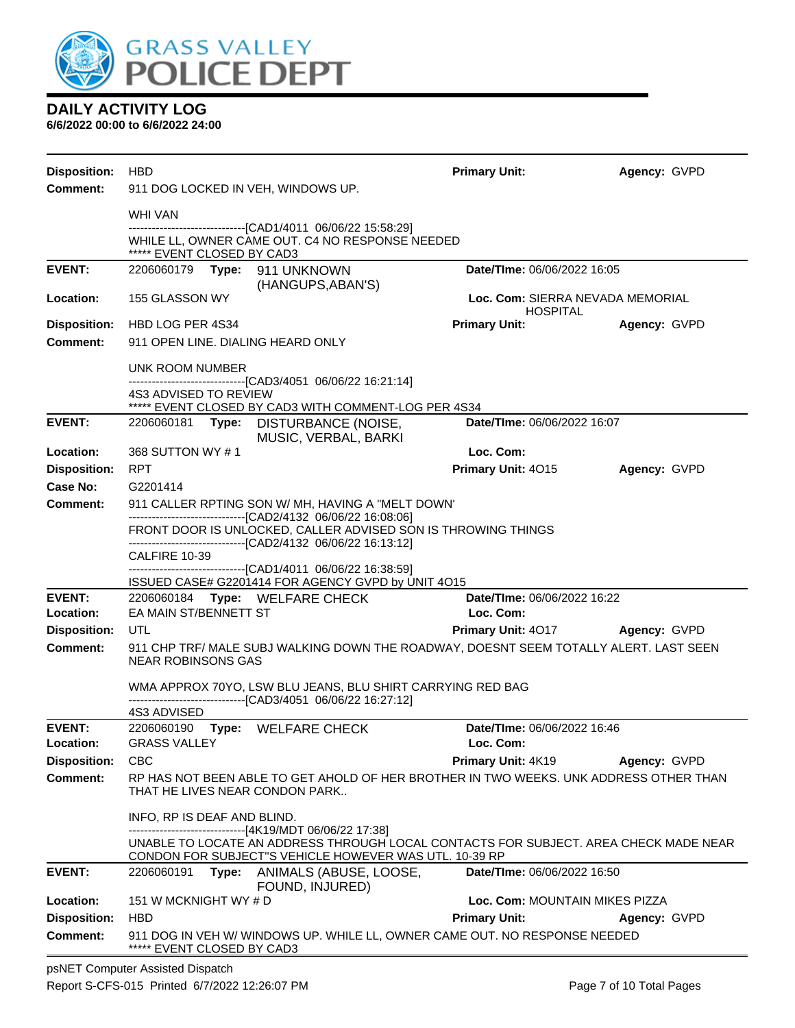

**6/6/2022 00:00 to 6/6/2022 24:00**

| <b>Disposition:</b>        | HBD                                |                                                                                                                                                                                                           | <b>Primary Unit:</b>                            | Agency: GVPD |  |  |
|----------------------------|------------------------------------|-----------------------------------------------------------------------------------------------------------------------------------------------------------------------------------------------------------|-------------------------------------------------|--------------|--|--|
| <b>Comment:</b>            | 911 DOG LOCKED IN VEH, WINDOWS UP. |                                                                                                                                                                                                           |                                                 |              |  |  |
|                            | WHI VAN                            |                                                                                                                                                                                                           |                                                 |              |  |  |
|                            | ***** EVENT CLOSED BY CAD3         | ---------------------------------[CAD1/4011 06/06/22 15:58:29]<br>WHILE LL, OWNER CAME OUT. C4 NO RESPONSE NEEDED                                                                                         |                                                 |              |  |  |
| <b>EVENT:</b>              | 2206060179                         | Type: 911 UNKNOWN                                                                                                                                                                                         | Date/TIme: 06/06/2022 16:05                     |              |  |  |
| <b>Location:</b>           | 155 GLASSON WY                     | (HANGUPS, ABAN'S)                                                                                                                                                                                         | Loc. Com: SIERRA NEVADA MEMORIAL                |              |  |  |
| <b>Disposition:</b>        | HBD LOG PER 4S34                   |                                                                                                                                                                                                           | <b>HOSPITAL</b><br><b>Primary Unit:</b>         | Agency: GVPD |  |  |
| Comment:                   | 911 OPEN LINE, DIALING HEARD ONLY  |                                                                                                                                                                                                           |                                                 |              |  |  |
|                            |                                    |                                                                                                                                                                                                           |                                                 |              |  |  |
|                            | UNK ROOM NUMBER                    | ---------------------[CAD3/4051_06/06/22 16:21:14]                                                                                                                                                        |                                                 |              |  |  |
|                            | 4S3 ADVISED TO REVIEW              | ***** EVENT CLOSED BY CAD3 WITH COMMENT-LOG PER 4S34                                                                                                                                                      |                                                 |              |  |  |
| <b>EVENT:</b>              |                                    | 2206060181 Type: DISTURBANCE (NOISE,                                                                                                                                                                      | Date/TIme: 06/06/2022 16:07                     |              |  |  |
| Location:                  | 368 SUTTON WY #1                   | MUSIC, VERBAL, BARKI                                                                                                                                                                                      | Loc. Com:                                       |              |  |  |
| <b>Disposition:</b>        | <b>RPT</b>                         |                                                                                                                                                                                                           | Primary Unit: 4015                              | Agency: GVPD |  |  |
| Case No:                   | G2201414                           |                                                                                                                                                                                                           |                                                 |              |  |  |
| <b>Comment:</b>            |                                    | 911 CALLER RPTING SON W/ MH, HAVING A "MELT DOWN"                                                                                                                                                         |                                                 |              |  |  |
|                            |                                    | -------------------------------[CAD2/4132 06/06/22 16:08:06]<br>FRONT DOOR IS UNLOCKED, CALLER ADVISED SON IS THROWING THINGS                                                                             |                                                 |              |  |  |
|                            | CALFIRE 10-39                      | ------------------------[CAD2/4132 06/06/22 16:13:12]                                                                                                                                                     |                                                 |              |  |  |
|                            |                                    | -------------------------------[CAD1/4011 06/06/22 16:38:59]                                                                                                                                              |                                                 |              |  |  |
| <b>EVENT:</b>              |                                    | ISSUED CASE# G2201414 FOR AGENCY GVPD by UNIT 4O15<br>2206060184 Type: WELFARE CHECK                                                                                                                      | Date/TIme: 06/06/2022 16:22                     |              |  |  |
| Location:                  | EA MAIN ST/BENNETT ST              |                                                                                                                                                                                                           | Loc. Com:                                       |              |  |  |
| <b>Disposition:</b>        | UTL                                |                                                                                                                                                                                                           | <b>Primary Unit: 4017</b>                       | Agency: GVPD |  |  |
| <b>Comment:</b>            | NEAR ROBINSONS GAS                 | 911 CHP TRF/ MALE SUBJ WALKING DOWN THE ROADWAY, DOESNT SEEM TOTALLY ALERT. LAST SEEN                                                                                                                     |                                                 |              |  |  |
|                            |                                    | WMA APPROX 70YO, LSW BLU JEANS, BLU SHIRT CARRYING RED BAG<br>-------------------------------[CAD3/4051_06/06/22 16:27:12]                                                                                |                                                 |              |  |  |
|                            | 4S3 ADVISED                        |                                                                                                                                                                                                           |                                                 |              |  |  |
| <b>EVENT:</b><br>Location: | GRASS VALLEY                       | 2206060190 Type: WELFARE CHECK                                                                                                                                                                            | <b>Date/Time: 06/06/2022 16:46</b><br>Loc. Com: |              |  |  |
| <b>Disposition:</b>        | <b>CBC</b>                         |                                                                                                                                                                                                           | Primary Unit: 4K19                              | Agency: GVPD |  |  |
| <b>Comment:</b>            | THAT HE LIVES NEAR CONDON PARK     | RP HAS NOT BEEN ABLE TO GET AHOLD OF HER BROTHER IN TWO WEEKS. UNK ADDRESS OTHER THAN                                                                                                                     |                                                 |              |  |  |
|                            | INFO, RP IS DEAF AND BLIND.        |                                                                                                                                                                                                           |                                                 |              |  |  |
|                            |                                    | ------------------------------[4K19/MDT 06/06/22 17:38]<br>UNABLE TO LOCATE AN ADDRESS THROUGH LOCAL CONTACTS FOR SUBJECT. AREA CHECK MADE NEAR<br>CONDON FOR SUBJECT"S VEHICLE HOWEVER WAS UTL. 10-39 RP |                                                 |              |  |  |
| <b>EVENT:</b>              | 2206060191                         | Type: ANIMALS (ABUSE, LOOSE,                                                                                                                                                                              | Date/TIme: 06/06/2022 16:50                     |              |  |  |
| Location:                  | 151 W MCKNIGHT WY # D              | FOUND, INJURED)                                                                                                                                                                                           | Loc. Com: MOUNTAIN MIKES PIZZA                  |              |  |  |
| <b>Disposition:</b>        | <b>HBD</b>                         |                                                                                                                                                                                                           | <b>Primary Unit:</b>                            | Agency: GVPD |  |  |
| <b>Comment:</b>            | ***** EVENT CLOSED BY CAD3         | 911 DOG IN VEH W/ WINDOWS UP. WHILE LL, OWNER CAME OUT. NO RESPONSE NEEDED                                                                                                                                |                                                 |              |  |  |

psNET Computer Assisted Dispatch Report S-CFS-015 Printed 6/7/2022 12:26:07 PM Page 7 of 10 Total Pages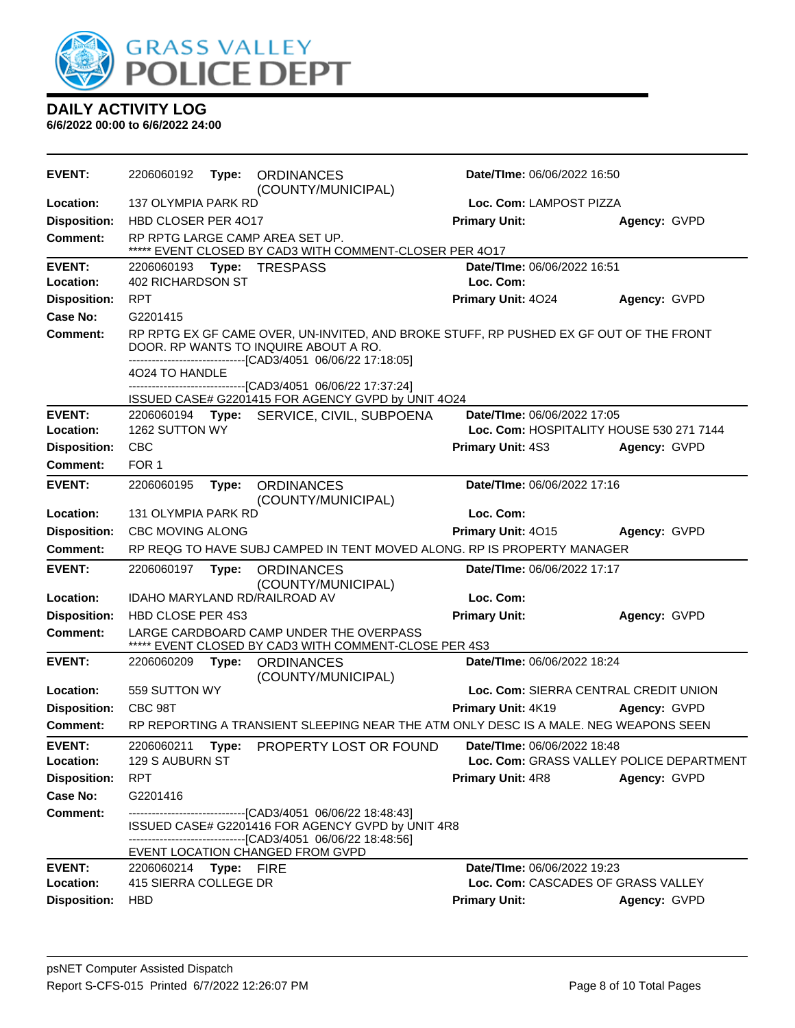

| <b>EVENT:</b>              | 2206060192                             | Type:      | <b>ORDINANCES</b><br>(COUNTY/MUNICIPAL)                                                                                                                                                         | <b>Date/Time: 06/06/2022 16:50</b>       |                                          |  |
|----------------------------|----------------------------------------|------------|-------------------------------------------------------------------------------------------------------------------------------------------------------------------------------------------------|------------------------------------------|------------------------------------------|--|
| Location:                  | <b>137 OLYMPIA PARK RD</b>             |            |                                                                                                                                                                                                 | Loc. Com: LAMPOST PIZZA                  |                                          |  |
| <b>Disposition:</b>        | HBD CLOSER PER 4017                    |            |                                                                                                                                                                                                 | <b>Primary Unit:</b>                     | Agency: GVPD                             |  |
| <b>Comment:</b>            |                                        |            | RP RPTG LARGE CAMP AREA SET UP.<br>EVENT CLOSED BY CAD3 WITH COMMENT-CLOSER PER 4017                                                                                                            |                                          |                                          |  |
| <b>EVENT:</b><br>Location: | 2206060193<br><b>402 RICHARDSON ST</b> | Type:      | <b>TRESPASS</b>                                                                                                                                                                                 | Date/TIme: 06/06/2022 16:51<br>Loc. Com: |                                          |  |
| <b>Disposition:</b>        | <b>RPT</b>                             |            |                                                                                                                                                                                                 | Primary Unit: 4024                       | Agency: GVPD                             |  |
| <b>Case No:</b>            | G2201415                               |            |                                                                                                                                                                                                 |                                          |                                          |  |
| Comment:                   |                                        |            | RP RPTG EX GF CAME OVER, UN-INVITED, AND BROKE STUFF, RP PUSHED EX GF OUT OF THE FRONT<br>DOOR. RP WANTS TO INQUIRE ABOUT A RO.<br>-------------------------------[CAD3/4051 06/06/22 17:18:05] |                                          |                                          |  |
|                            | 4024 TO HANDLE                         |            | ---------------------[CAD3/4051 06/06/22 17:37:24]<br>ISSUED CASE# G2201415 FOR AGENCY GVPD by UNIT 4O24                                                                                        |                                          |                                          |  |
| <b>EVENT:</b>              |                                        |            | 2206060194 Type: SERVICE, CIVIL, SUBPOENA                                                                                                                                                       | Date/TIme: 06/06/2022 17:05              |                                          |  |
| Location:                  | 1262 SUTTON WY                         |            |                                                                                                                                                                                                 | Loc. Com: HOSPITALITY HOUSE 530 271 7144 |                                          |  |
| <b>Disposition:</b>        | <b>CBC</b>                             |            |                                                                                                                                                                                                 | <b>Primary Unit: 4S3</b>                 | Agency: GVPD                             |  |
| <b>Comment:</b>            | FOR 1                                  |            |                                                                                                                                                                                                 |                                          |                                          |  |
| <b>EVENT:</b>              | 2206060195                             | Type:      | <b>ORDINANCES</b><br>(COUNTY/MUNICIPAL)                                                                                                                                                         | Date/TIme: 06/06/2022 17:16              |                                          |  |
| Location:                  | 131 OLYMPIA PARK RD                    |            |                                                                                                                                                                                                 | Loc. Com:                                |                                          |  |
| <b>Disposition:</b>        | CBC MOVING ALONG                       |            |                                                                                                                                                                                                 | Primary Unit: 4015                       | Agency: GVPD                             |  |
| <b>Comment:</b>            |                                        |            | RP REQG TO HAVE SUBJ CAMPED IN TENT MOVED ALONG. RP IS PROPERTY MANAGER                                                                                                                         |                                          |                                          |  |
| <b>EVENT:</b>              | 2206060197                             | Type:      | <b>ORDINANCES</b><br>(COUNTY/MUNICIPAL)                                                                                                                                                         | Date/TIme: 06/06/2022 17:17              |                                          |  |
| Location:                  |                                        |            | IDAHO MARYLAND RD/RAILROAD AV                                                                                                                                                                   | Loc. Com:                                |                                          |  |
| <b>Disposition:</b>        | <b>HBD CLOSE PER 4S3</b>               |            |                                                                                                                                                                                                 | <b>Primary Unit:</b>                     | Agency: GVPD                             |  |
| <b>Comment:</b>            |                                        |            | LARGE CARDBOARD CAMP UNDER THE OVERPASS<br>EVENT CLOSED BY CAD3 WITH COMMENT-CLOSE PER 4S3                                                                                                      |                                          |                                          |  |
| <b>EVENT:</b>              | 2206060209                             | Type:      | <b>ORDINANCES</b><br>(COUNTY/MUNICIPAL)                                                                                                                                                         | Date/TIme: 06/06/2022 18:24              |                                          |  |
| Location:                  | 559 SUTTON WY                          |            |                                                                                                                                                                                                 | Loc. Com: SIERRA CENTRAL CREDIT UNION    |                                          |  |
| <b>Disposition:</b>        | CBC 98T                                |            |                                                                                                                                                                                                 | Primary Unit: 4K19                       | Agency: GVPD                             |  |
| <b>Comment:</b>            |                                        |            | RP REPORTING A TRANSIENT SLEEPING NEAR THE ATM ONLY DESC IS A MALE. NEG WEAPONS SEEN                                                                                                            |                                          |                                          |  |
| <b>EVENT:</b><br>Location: | 2206060211<br>129 S AUBURN ST          | Type:      | PROPERTY LOST OR FOUND                                                                                                                                                                          | Date/TIme: 06/06/2022 18:48              | Loc. Com: GRASS VALLEY POLICE DEPARTMENT |  |
| <b>Disposition:</b>        | <b>RPT</b>                             |            |                                                                                                                                                                                                 | <b>Primary Unit: 4R8</b>                 | Agency: GVPD                             |  |
| <b>Case No:</b>            | G2201416                               |            |                                                                                                                                                                                                 |                                          |                                          |  |
| <b>Comment:</b>            |                                        |            | ------------------------------[CAD3/4051 06/06/22 18:48:43]<br>ISSUED CASE# G2201416 FOR AGENCY GVPD by UNIT 4R8<br>-------------------------------[CAD3/4051 06/06/22 18:48:56]                |                                          |                                          |  |
|                            |                                        |            | EVENT LOCATION CHANGED FROM GVPD                                                                                                                                                                |                                          |                                          |  |
| <b>EVENT:</b>              | 2206060214                             | Type: FIRE |                                                                                                                                                                                                 | Date/TIme: 06/06/2022 19:23              |                                          |  |
| Location:                  | 415 SIERRA COLLEGE DR                  |            |                                                                                                                                                                                                 | Loc. Com: CASCADES OF GRASS VALLEY       |                                          |  |
| <b>Disposition:</b>        | <b>HBD</b>                             |            |                                                                                                                                                                                                 | <b>Primary Unit:</b>                     | Agency: GVPD                             |  |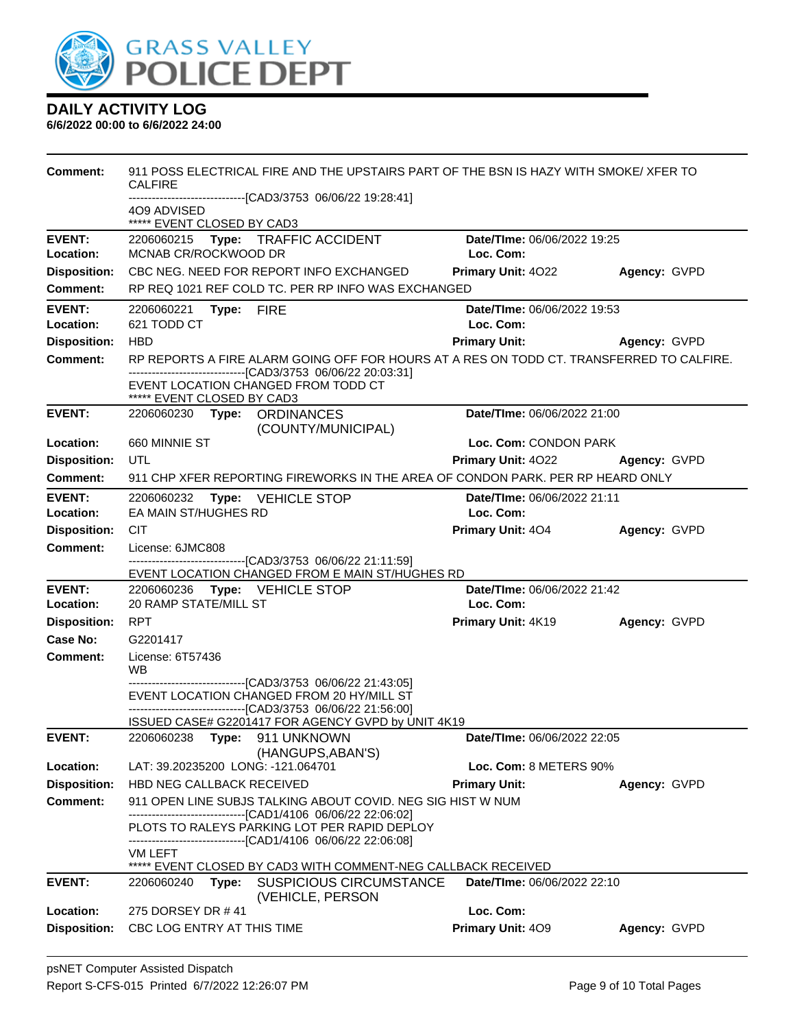

| Comment:                   | 911 POSS ELECTRICAL FIRE AND THE UPSTAIRS PART OF THE BSN IS HAZY WITH SMOKE/ XFER TO<br><b>CALFIRE</b><br>-----------------------[CAD3/3753_06/06/22 19:28:41]<br>4O9 ADVISED |                                          |              |
|----------------------------|--------------------------------------------------------------------------------------------------------------------------------------------------------------------------------|------------------------------------------|--------------|
|                            | ***** EVENT CLOSED BY CAD3                                                                                                                                                     |                                          |              |
| <b>EVENT:</b><br>Location: | 2206060215 Type: TRAFFIC ACCIDENT<br>MCNAB CR/ROCKWOOD DR                                                                                                                      | Date/TIme: 06/06/2022 19:25<br>Loc. Com: |              |
| <b>Disposition:</b>        | CBC NEG. NEED FOR REPORT INFO EXCHANGED                                                                                                                                        | Primary Unit: 4022                       | Agency: GVPD |
| <b>Comment:</b>            | RP REQ 1021 REF COLD TC. PER RP INFO WAS EXCHANGED                                                                                                                             |                                          |              |
|                            |                                                                                                                                                                                |                                          |              |
| <b>EVENT:</b><br>Location: | Type: FIRE<br>2206060221<br>621 TODD CT                                                                                                                                        | Date/TIme: 06/06/2022 19:53<br>Loc. Com: |              |
| <b>Disposition:</b>        | <b>HBD</b>                                                                                                                                                                     | <b>Primary Unit:</b>                     | Agency: GVPD |
| <b>Comment:</b>            | RP REPORTS A FIRE ALARM GOING OFF FOR HOURS AT A RES ON TODD CT. TRANSFERRED TO CALFIRE.                                                                                       |                                          |              |
|                            | --------------------------------[CAD3/3753 06/06/22 20:03:31]<br>EVENT LOCATION CHANGED FROM TODD CT<br>***** EVENT CLOSED BY CAD3                                             |                                          |              |
| <b>EVENT:</b>              | 2206060230 Type: ORDINANCES<br>(COUNTY/MUNICIPAL)                                                                                                                              | Date/TIme: 06/06/2022 21:00              |              |
| Location:                  | 660 MINNIE ST                                                                                                                                                                  | Loc. Com: CONDON PARK                    |              |
| <b>Disposition:</b>        | UTL                                                                                                                                                                            | <b>Primary Unit: 4022</b>                | Agency: GVPD |
| <b>Comment:</b>            | 911 CHP XFER REPORTING FIREWORKS IN THE AREA OF CONDON PARK. PER RP HEARD ONLY                                                                                                 |                                          |              |
| <b>EVENT:</b>              | <b>Type: VEHICLE STOP</b><br>2206060232                                                                                                                                        | Date/TIme: 06/06/2022 21:11              |              |
| Location:                  | EA MAIN ST/HUGHES RD                                                                                                                                                           | Loc. Com:                                |              |
| <b>Disposition:</b>        | <b>CIT</b>                                                                                                                                                                     | <b>Primary Unit: 404</b>                 | Agency: GVPD |
| <b>Comment:</b>            | License: 6JMC808                                                                                                                                                               |                                          |              |
|                            | -------------------------------[CAD3/3753_06/06/22_21:11:59]<br>EVENT LOCATION CHANGED FROM E MAIN ST/HUGHES RD                                                                |                                          |              |
| <b>EVENT:</b>              | 2206060236 Type: VEHICLE STOP                                                                                                                                                  | Date/TIme: 06/06/2022 21:42              |              |
| Location:                  | 20 RAMP STATE/MILL ST                                                                                                                                                          | Loc. Com:                                |              |
| <b>Disposition:</b>        | <b>RPT</b>                                                                                                                                                                     | <b>Primary Unit: 4K19</b>                | Agency: GVPD |
| Case No:                   | G2201417                                                                                                                                                                       |                                          |              |
| Comment:                   | License: 6T57436<br>WB.                                                                                                                                                        |                                          |              |
|                            | -------------------------------[CAD3/3753_06/06/22_21:43:05]<br>EVENT LOCATION CHANGED FROM 20 HY/MILL ST<br>-------------------------------[CAD3/3753 06/06/22 21:56:00]      |                                          |              |
| <b>EVENT:</b>              | ISSUED CASE# G2201417 FOR AGENCY GVPD by UNIT 4K19<br>2206060238 Type: 911 UNKNOWN                                                                                             | Date/TIme: 06/06/2022 22:05              |              |
|                            | (HANGUPS, ABAN'S)                                                                                                                                                              |                                          |              |
| Location:                  | LAT: 39.20235200 LONG: -121.064701                                                                                                                                             | Loc. Com: 8 METERS 90%                   |              |
| <b>Disposition:</b>        | HBD NEG CALLBACK RECEIVED                                                                                                                                                      | <b>Primary Unit:</b>                     | Agency: GVPD |
| <b>Comment:</b>            | 911 OPEN LINE SUBJS TALKING ABOUT COVID. NEG SIG HIST W NUM                                                                                                                    |                                          |              |
|                            | -------------------------------[CAD1/4106 06/06/22 22:06:02]<br>PLOTS TO RALEYS PARKING LOT PER RAPID DEPLOY<br>---------------------------------[CAD1/4106_06/06/22_22:06:08] |                                          |              |
|                            | VM LEFT                                                                                                                                                                        |                                          |              |
|                            | ***** EVENT CLOSED BY CAD3 WITH COMMENT-NEG CALLBACK RECEIVED                                                                                                                  |                                          |              |
| <b>EVENT:</b>              | <b>SUSPICIOUS CIRCUMSTANCE</b><br>2206060240<br>Type:<br>(VEHICLE, PERSON                                                                                                      | Date/TIme: 06/06/2022 22:10              |              |
| Location:                  | 275 DORSEY DR #41                                                                                                                                                              | Loc. Com:                                |              |
| <b>Disposition:</b>        | CBC LOG ENTRY AT THIS TIME                                                                                                                                                     | Primary Unit: 409                        | Agency: GVPD |